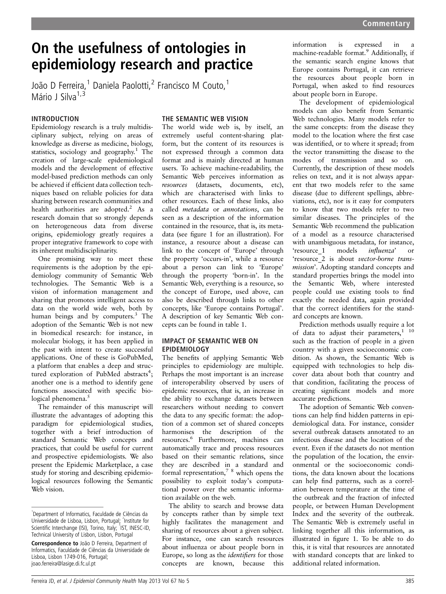# On the usefulness of ontologies in epidemiology research and practice

João D Ferreira,<sup>1</sup> Daniela Paolotti,<sup>2</sup> Francisco M Couto,<sup>1</sup> Mário I Silva<sup>1,3</sup>

## INTRODUCTION

Epidemiology research is a truly multidisciplinary subject, relying on areas of knowledge as diverse as medicine, biology, statistics, sociology and geography.<sup>1</sup> The creation of large-scale epidemiological models and the development of effective model-based prediction methods can only be achieved if efficient data collection techniques based on reliable policies for data sharing between research communities and health authorities are adopted.<sup>2</sup> As a research domain that so strongly depends on heterogeneous data from diverse origins, epidemiology greatly requires a proper integrative framework to cope with its inherent multidisciplinarity.

One promising way to meet these requirements is the adoption by the epidemiology community of Semantic Web technologies. The Semantic Web is a vision of information management and sharing that promotes intelligent access to data on the world wide web, both by human beings and by computers.<sup>3</sup> The adoption of the Semantic Web is not new in biomedical research: for instance, in molecular biology, it has been applied in the past with intent to create successful applications. One of these is GoPubMed, a platform that enables a deep and structured exploration of PubMed abstracts<sup>4</sup>; another one is a method to identify gene functions associated with specific biological phenomena. $5$ 

The remainder of this manuscript will illustrate the advantages of adopting this paradigm for epidemiological studies, together with a brief introduction of standard Semantic Web concepts and practices, that could be useful for current and prospective epidemiologists. We also present the Epidemic Marketplace, a case study for storing and describing epidemiological resources following the Semantic Web vision.

## THE SEMANTIC WEB VISION

The world wide web is, by itself, an extremely useful content-sharing platform, but the content of its resources is not expressed through a common data format and is mainly directed at human users. To achieve machine-readability, the Semantic Web perceives information as resources (datasets, documents, etc), which are characterised with links to other resources. Each of these links, also called metadata or annotations, can be seen as a description of the information contained in the resource, that is, its metadata (see figure 1 for an illustration). For instance, a resource about a disease can link to the concept of 'Europe' through the property 'occurs-in', while a resource about a person can link to 'Europe' through the property 'born-in'. In the Semantic Web, everything is a resource, so the concept of Europe, used above, can also be described through links to other concepts, like 'Europe contains Portugal'. A description of key Semantic Web concepts can be found in table 1.

## IMPACT OF SEMANTIC WEB ON EPIDEMIOLOGY

The benefits of applying Semantic Web principles to epidemiology are multiple. Perhaps the most important is an increase of interoperability observed by users of epidemic resources, that is, an increase in the ability to exchange datasets between researchers without needing to convert the data to any specific format: the adoption of a common set of shared concepts harmonises the description of the resources.<sup>6</sup> Furthermore, machines can automatically trace and process resources based on their semantic relations, since they are described in a standard and formal representation, $78$  which opens the possibility to exploit today's computational power over the semantic information available on the web.

The ability to search and browse data by concepts rather than by simple text highly facilitates the management and sharing of resources about a given subject. For instance, one can search resources about influenza or about people born in Europe, so long as the identifiers for those concepts are known, because this

information is expressed in machine-readable format.<sup>9</sup> Additionally, if the semantic search engine knows that Europe contains Portugal, it can retrieve the resources about people born in Portugal, when asked to find resources about people born in Europe.

The development of epidemiological models can also benefit from Semantic Web technologies. Many models refer to the same concepts: from the disease they model to the location where the first case was identified, or to where it spread; from the vector transmitting the disease to the modes of transmission and so on. Currently, the description of these models relies on text, and it is not always apparent that two models refer to the same disease (due to different spellings, abbreviations, etc), nor is it easy for computers to know that two models refer to two similar diseases. The principles of the Semantic Web recommend the publication of a model as a resource characterised with unambiguous metadata, for instance, 'resource 1 models *influenza*' or 'resource 2 is about vector-borne transmission'. Adopting standard concepts and standard properties brings the model into the Semantic Web, where interested people could use existing tools to find exactly the needed data, again provided that the correct identifiers for the standard concepts are known.

Prediction methods usually require a lot of data to adjust their parameters,<sup>1 10</sup> such as the fraction of people in a given country with a given socioeconomic condition. As shown, the Semantic Web is equipped with technologies to help discover data about both that country and that condition, facilitating the process of creating significant models and more accurate predictions.

The adoption of Semantic Web conventions can help find hidden patterns in epidemiological data. For instance, consider several outbreak datasets annotated to an infectious disease and the location of the event. Even if the datasets do not mention the population of the location, the environmental or the socioeconomic conditions, the data known about the locations can help find patterns, such as a correlation between temperature at the time of the outbreak and the fraction of infected people, or between Human Development Index and the severity of the outbreak. The Semantic Web is extremely useful in linking together all this information, as illustrated in figure 1. To be able to do this, it is vital that resources are annotated with standard concepts that are linked to additional related information.

<sup>1</sup> Department of Informatics, Faculdade de Ciências da Universidade de Lisboa, Lisbon, Portugal; <sup>2</sup>Institute for Scientific Interchange (ISI), Torino, Italy; <sup>3</sup>IST, INESC-ID, Technical University of Lisbon, Lisbon, Portugal

Correspondence to João D Ferreira, Department of Informatics, Faculdade de Ciências da Universidade de Lisboa, Lisbon 1749-016, Portugal; joao.ferreira@lasige.di.fc.ul.pt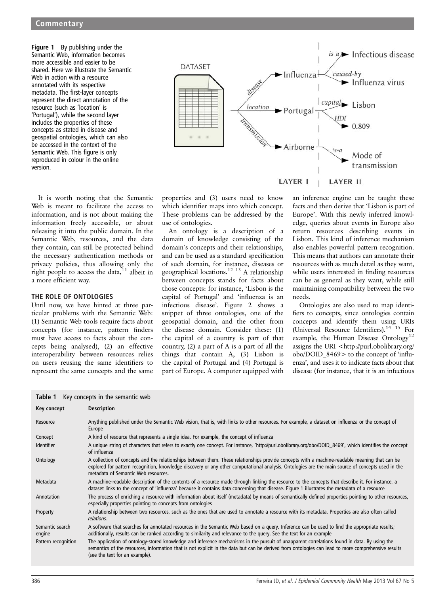Figure 1 By publishing under the Semantic Web, information becomes more accessible and easier to be shared. Here we illustrate the Semantic Web in action with a resource annotated with its respective metadata. The first-layer concepts represent the direct annotation of the resource (such as 'location' is 'Portugal'), while the second layer includes the properties of these concepts as stated in disease and geospatial ontologies, which can also be accessed in the context of the Semantic Web. This figure is only reproduced in colour in the online version.

It is worth noting that the Semantic Web is meant to facilitate the access to information, and is not about making the information freely accessible, or about releasing it into the public domain. In the Semantic Web, resources, and the data they contain, can still be protected behind the necessary authentication methods or privacy policies, thus allowing only the right people to access the data, $^{11}$  albeit in a more efficient way.

#### THE ROLE OF ONTOLOGIES

Until now, we have hinted at three particular problems with the Semantic Web: (1) Semantic Web tools require facts about concepts (for instance, pattern finders must have access to facts about the concepts being analysed), (2) an effective interoperability between resources relies on users reusing the same identifiers to represent the same concepts and the same



**LAYER I LAYER II** 

properties and (3) users need to know which identifier maps into which concept. These problems can be addressed by the use of ontologies.

An ontology is a description of a domain of knowledge consisting of the domain's concepts and their relationships, and can be used as a standard specification of such domain, for instance, diseases or geographical locations.<sup>12 13</sup> A relationship between concepts stands for facts about those concepts: for instance, 'Lisbon is the capital of Portugal' and 'influenza is an infectious disease'. Figure 2 shows a snippet of three ontologies, one of the geospatial domain, and the other from the disease domain. Consider these: (1) the capital of a country is part of that country, (2) a part of A is a part of all the things that contain A, (3) Lisbon is the capital of Portugal and (4) Portugal is part of Europe. A computer equipped with

an inference engine can be taught these facts and then derive that 'Lisbon is part of Europe'. With this newly inferred knowledge, queries about events in Europe also return resources describing events in Lisbon. This kind of inference mechanism also enables powerful pattern recognition. This means that authors can annotate their resources with as much detail as they want, while users interested in finding resources can be as general as they want, while still maintaining compatibility between the two needs.

Ontologies are also used to map identifiers to concepts, since ontologies contain concepts and identify them using URIs (Universal Resource Identifiers).<sup>14 15</sup> For example, the Human Disease Ontology<sup>12</sup> assigns the URI [<http://purl.obolibrary.org/](http://purl.obolibrary.org/obo/DOID_8469) [obo/DOID\\_8469](http://purl.obolibrary.org/obo/DOID_8469)> to the concept of 'influenza', and uses it to indicate facts about that disease (for instance, that it is an infectious

Table 1 Key concepts in the semantic web

| Key concept               | <b>Description</b>                                                                                                                                                                                                                                                                                                                        |
|---------------------------|-------------------------------------------------------------------------------------------------------------------------------------------------------------------------------------------------------------------------------------------------------------------------------------------------------------------------------------------|
| Resource                  | Anything published under the Semantic Web vision, that is, with links to other resources. For example, a dataset on influenza or the concept of<br>Europe                                                                                                                                                                                 |
| Concept                   | A kind of resource that represents a single idea. For example, the concept of influenza                                                                                                                                                                                                                                                   |
| <b>Identifier</b>         | A unique string of characters that refers to exactly one concept. For instance, 'http://purl.obolibrary.org/obo/DOID_8469', which identifies the concept<br>of influenza                                                                                                                                                                  |
| Ontology                  | A collection of concepts and the relationships between them. These relationships provide concepts with a machine-readable meaning that can be<br>explored for pattern recognition, knowledge discovery or any other computational analysis. Ontologies are the main source of concepts used in the<br>metadata of Semantic Web resources. |
| Metadata                  | A machine-readable description of the contents of a resource made through linking the resource to the concepts that describe it. For instance, a<br>dataset links to the concept of 'influenza' because it contains data concerning that disease. Figure 1 illustrates the metadata of a resource                                         |
| Annotation                | The process of enriching a resource with information about itself (metadata) by means of semantically defined properties pointing to other resources,<br>especially properties pointing to concepts from ontologies                                                                                                                       |
| Property                  | A relationship between two resources, such as the ones that are used to annotate a resource with its metadata. Properties are also often called<br>relations.                                                                                                                                                                             |
| Semantic search<br>engine | A software that searches for annotated resources in the Semantic Web based on a query. Inference can be used to find the appropriate results;<br>additionally, results can be ranked according to similarity and relevance to the query. See the text for an example                                                                      |
| Pattern recognition       | The application of ontology-stored knowledge and inference mechanisms in the pursuit of unapparent correlations found in data. By using the<br>semantics of the resources, information that is not explicit in the data but can be derived from ontologies can lead to more comprehensive results<br>(see the text for an example).       |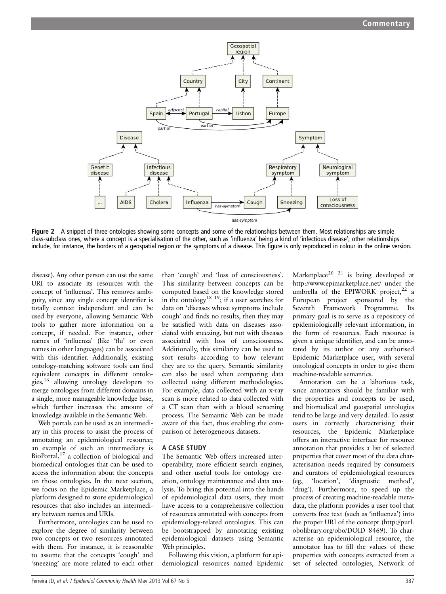

Figure 2 A snippet of three ontologies showing some concepts and some of the relationships between them. Most relationships are simple class-subclass ones, where a concept is a specialisation of the other, such as 'influenza' being a kind of 'infectious disease'; other relationships include, for instance, the borders of a geospatial region or the symptoms of a disease. This figure is only reproduced in colour in the online version.

disease). Any other person can use the same URI to associate its resources with the concept of 'influenza'. This removes ambiguity, since any single concept identifier is totally context independent and can be used by everyone, allowing Semantic Web tools to gather more information on a concept, if needed. For instance, other names of 'influenza' (like 'flu' or even names in other languages) can be associated with this identifier. Additionally, existing ontology-matching software tools can find equivalent concepts in different ontologies,16 allowing ontology developers to merge ontologies from different domains in a single, more manageable knowledge base, which further increases the amount of knowledge available in the Semantic Web.

Web portals can be used as an intermediary in this process to assist the process of annotating an epidemiological resource; an example of such an intermediary is BioPortal, $17$  a collection of biological and biomedical ontologies that can be used to access the information about the concepts on those ontologies. In the next section, we focus on the Epidemic Marketplace, a platform designed to store epidemiological resources that also includes an intermediary between names and URIs.

Furthermore, ontologies can be used to explore the degree of similarity between two concepts or two resources annotated with them. For instance, it is reasonable to assume that the concepts 'cough' and 'sneezing' are more related to each other than 'cough' and 'loss of consciousness'. This similarity between concepts can be computed based on the knowledge stored in the ontology<sup>18 19</sup>; if a user searches for data on 'diseases whose symptoms include cough' and finds no results, then they may be satisfied with data on diseases associated with sneezing, but not with diseases associated with loss of consciousness. Additionally, this similarity can be used to sort results according to how relevant they are to the query. Semantic similarity can also be used when comparing data collected using different methodologies. For example, data collected with an x-ray scan is more related to data collected with a CT scan than with a blood screening process. The Semantic Web can be made aware of this fact, thus enabling the comparison of heterogeneous datasets.

#### A CASE STUDY

The Semantic Web offers increased interoperability, more efficient search engines, and other useful tools for ontology creation, ontology maintenance and data analysis. To bring this potential into the hands of epidemiological data users, they must have access to a comprehensive collection of resources annotated with concepts from epidemiology-related ontologies. This can be bootstrapped by annotating existing epidemiological datasets using Semantic Web principles.

Following this vision, a platform for epidemiological resources named Epidemic Marketplace<sup>20 21</sup> is being developed at <http://www.epimarketplace.net/> under the umbrella of the EPIWORK project,<sup>22</sup> a European project sponsored by the Seventh Framework Programme. Its primary goal is to serve as a repository of epidemiologically relevant information, in the form of resources. Each resource is given a unique identifier, and can be annotated by its author or any authorised Epidemic Marketplace user, with several ontological concepts in order to give them machine-readable semantics.

Annotation can be a laborious task, since annotators should be familiar with the properties and concepts to be used, and biomedical and geospatial ontologies tend to be large and very detailed. To assist users in correctly characterising their resources, the Epidemic Marketplace offers an interactive interface for resource annotation that provides a list of selected properties that cover most of the data characterisation needs required by consumers and curators of epidemiological resources (eg, 'location', 'diagnostic method', 'drug'). Furthermore, to speed up the process of creating machine-readable metadata, the platform provides a user tool that converts free text (such as 'influenza') into the proper URI of the concept ([http://purl.](http://purl.obolibrary.org/obo/DOID_8469) [obolibrary.org/obo/DOID\\_8469](http://purl.obolibrary.org/obo/DOID_8469)). To characterise an epidemiological resource, the annotator has to fill the values of these properties with concepts extracted from a set of selected ontologies, Network of